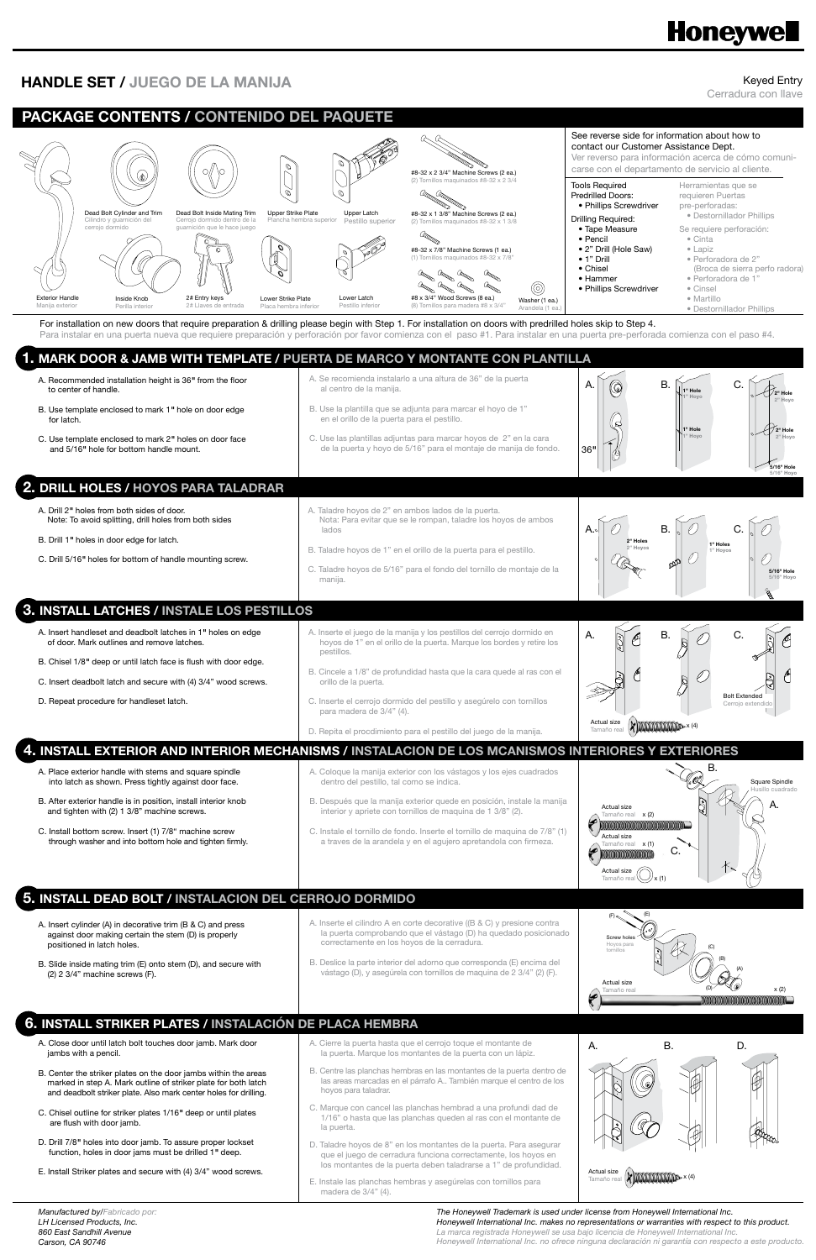Keyed Entry

Cerradura con llave

## **Honeywell**

## **HANDLE SET / JUEGO DE LA MANIJA**

*Manufactured by/Fabricado por: LH Licensed Products, Inc. 860 East Sandhill Avenue Carson, CA 90746*

- against door making certain the stem (D) is properly positioned in latch holes.
- B. Slide inside mating trim (E) onto stem (D), and secure with (2) 2 3/4" machine screws (F).
- la puerta comprobando que el vástago (D) ha quedado posicionado correctamente en los hoyos de la cerradura.
- B. Deslice la parte interior del adorno que corresponda (E) encima del vástago (D), y asegúrela con tornillos de maquina de 2 3/4" (2) (F).

#### **PACKAGE CONTENTS / CONTENIDO DEL PAQUETE** See reverse side for information about how to contact our Customer Assistance Dept. Ver reverso para información acerca de cómo comunicarse con el departamento de servicio al cliente. #8-32 x 2 3/4" Machine Screws (2 ea.) (2) Tornillos maquinados #8-32 x 2 3/4 Tools Required Herramientas que se Predrilled Doors: requieren Puertas • Phillips Screwdriver pre-perforadas: Dead Bolt Inside Mating Trim Upper Strike Plate Dead Bolt Cylinder and Trim Upper Latch #8-32 x 1 3/8" Machine Screws (2 ea.) • Destornillador Phillips Drilling Required: Cilindro y guarnición del o de la Plancha hembra superior stillo superior os maquinados #8-32 : Se requiere perforación: • Tape Measure cerrojo dormido guarnición que le hace juego Oldettellan • Pencil • Cinta • 2" Drill (Hole Saw) • Lapiz #8-32 x 7/8" Machine Screws (1 ea.) • 1" Drill • Perforadora de 2" maquinados #8-32 x • Chisel (Broca de sierra perfo radora) • Hammer • Perforadora de 1"  $\frac{a_{\text{max}}}{a_{\text{max}}}$   $\frac{a_{\text{max}}}{a_{\text{max}}}$   $\frac{a_{\text{max}}}{a_{\text{max}}}$  $^{\circledR}$ • Phillips Screwdriver • Cinsel 2# Entry keys Exterior Handle Inside Knob Lower Strike Plate Lower Latch • Martillo Manija exterior Washer (1 ea.) s para madera #8 x 3/4" entrada Pestillo inferior Perilla interior Placa hembra inferior • Destornillador Phillips Arandela (1 ea.) For installation on new doors that require preparation & drilling please begin with Step 1. For installation on doors with predrilled holes skip to Step 4. Para instalar en una puerta nueva que requiere preparación y perforación por favor comienza con el paso #1. Para instalar en una puerta pre-perforada comienza con el paso #4. **1. MARK DOOR & JAMB WITH TEMPLATE / PUERTA DE MARCO Y MONTANTE CON PLANTILLA** A. Recommended installation height is 36*"* from the floor Se recomienda instalarlo a una altura de 36" de la puerta  $A. \parallel \textcircled{c}$  B.  $\parallel \textcircled{c}$ . to center of handle. al centro de la manija. **1" Hole 2" Hole 1" Hoyo 2" Hoyo** B. Use la plantilla que se adjunta para marcar el hoyo de 1" B. Use template enclosed to mark 1*"* hole on door edge en el orillo de la puerta para el pestillo. for latch. **1" Hole 2" Hole** C. Use template enclosed to mark 2*"* holes on door face C. Use las plantillas adjuntas para marcar hoyos de 2" en la cara **1" Hoyo 2" Hoyo** de la puerta y hoyo de 5/16" para el montaje de manija de fondo. and 5/16*"* hole for bottom handle mount. 36*"* **5/16" Hole 5/16" Hoyo 2. DRILL HOLES / HOYOS PARA TALADRAR** A. Drill 2*"* holes from both sides of door. A. Taladre hoyos de 2" en ambos lados de la puerta. Note: To avoid splitting, drill holes from both sides Nota: Para evitar que se le rompan, taladre los hoyos de ambos  $A.\circ$   $\begin{array}{ccc} \circ & \circ & \circ \\ \circ & \circ & \circ \end{array}$  B.  $\begin{array}{ccc} \circ & \circ & \circ \\ \circ & \circ & \circ \end{array}$  C. lados B. Drill 1*"* holes in door edge for latch. **2" Holes 1" Holes** B. Taladre hoyos de 1" en el orillo de la puerta para el pestillo. **2" Hoyos 1" Hoyos** l Ø C. Drill 5/16*"* holes for bottom of handle mounting screw. pp C. Taladre hoyos de 5/16" para el fondo del tornillo de montaje de la **5/16" Hole** manija. **5/16" Hoyo 3. INSTALL LATCHES / INSTALE LOS PESTILLOS** A. Insert handleset and deadbolt latches in 1*"* holes on edge A. Inserte el juego de la manija y los pestillos del cerrojo dormido en A.  $\mathbb{R}$   $\mathbb{A}$  B.  $\mathbb{R}$   $\mathbb{A}$  C. C of door. Mark outlines and remove latches. hoyos de 1" en el orillo de la puerta. Marque los bordes y retire los pestillos. B. Chisel 1/8*"* deep or until latch face is flush with door edge. B. Cincele a 1/8" de profundidad hasta que la cara quede al ras con el C ļ, C. Insert deadbolt latch and secure with (4) 3/4" wood screws. orillo de la puerta. Bolt Extended C. Inserte el cerrojo dormido del pestillo y asegúrelo con tornillos D. Repeat procedure for handleset latch. Cerrojo extendido para madera de 3/4" (4).  $x$  (4) Actual size D. Repita el procdimiento para el pestillo del juego de la manija. Tamaño real **4. INSTALL EXTERIOR AND INTERIOR MECHANISMS / INSTALACION DE LOS MCANISMOS INTERIORES Y EXTERIORES** B. A. Place exterior handle with stems and square spindle A. Coloque la manija exterior con los vástagos y los ejes cuadrados into latch as shown. Press tightly against door face. Square Spindle dentro del pestillo, tal como se indica. Husillo cuadrado B. Después que la manija exterior quede en posición, instale la manija B. After exterior handle is in position, install interior knob A. Actual size interior y apriete con tornillos de maquina de 1 3/8" (2). and tighten with (2) 1 3/8" machine screws. x (2) Tamaño real C. Install bottom screw. Insert (1) 7/8" machine screw C. Instale el tornillo de fondo. Inserte el tornillo de maquina de 7/8" (1) Actual size through washer and into bottom hole and tighten firmly. a traves de la arandela y en el agujero apretandola con firmeza. x (1) ıaño real C.

## **5. INSTALL DEAD BOLT / INSTALACION DEL CERROJO DORMIDO**

der (A) in de

Inserte el cilindro A en corte decorative ( $(B & C)$  y presione co

## **6. INSTALL STRIKER PLATES / INSTALACIÓN DE PLACA HEMBRA**

- A. Close door until latch bolt touches door jamb. Mark door jambs with a pencil.
- B. Center the striker plates on the door jambs within the areas marked in step A. Mark outline of striker plate for both latch and deadbolt striker plate. Also mark center holes for drilling.
- C. Chisel outline for striker plates 1/16*"* deep or until plates are flush with door jamb.
- D. Drill 7/8*"* holes into door jamb. To assure proper lockset function, holes in door jams must be drilled 1*"* deep.
- E. Install Striker plates and secure with (4) 3/4" wood screws.
- A. Cierre la puerta hasta que el cerrojo toque el montante de la puerta. Marque los montantes de la puerta con un lápiz.
- B. Centre las planchas hembras en las montantes de la puerta dentro de las areas marcadas en el párrafo A.. También marque el centro de los hoyos para taladrar.
- C. Marque con cancel las planchas hembrad a una profundi dad de 1/16" o hasta que las planchas queden al ras con el montante de la puerta.
- D. Taladre hoyos de 8" en los montantes de la puerta. Para asegurar que el juego de cerradura funciona correctamente, los hoyos en los montantes de la puerta deben taladrarse a 1" de profundidad.
- E. Instale las planchas hembras y asegúrelas con tornillos para madera de 3/4" (4).





*The Honeywell Trademark is used under license from Honeywell International Inc. Honeywell International Inc. makes no representations or warranties with respect to this product.*

*La marca registrada Honeywell se usa bajo licencia de Honeywell International Inc. Honeywell International Inc. no ofrece ninguna declaración ni garantía con respecto a este producto.*

Actual size Tamaño real

x (1)